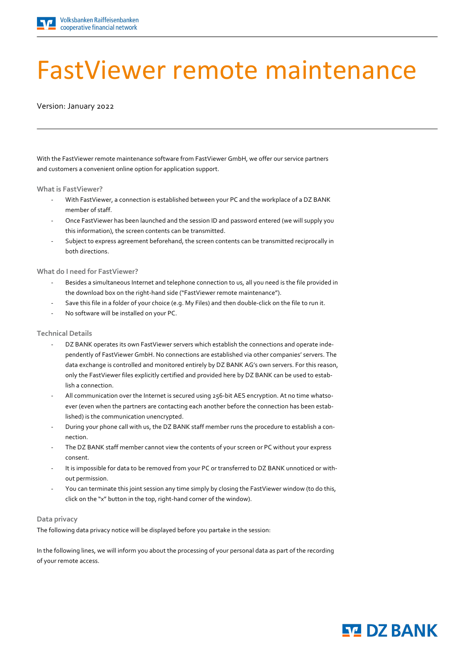

# FastViewer remote maintenance

Version: January 2022

With the FastViewer remote maintenance software from FastViewer GmbH, we offer our service partners and customers a convenient online option for application support.

**What is FastViewer?**

- With FastViewer, a connection is established between your PC and the workplace of a DZ BANK member of staff.
- Once FastViewer has been launched and the session ID and password entered (we will supply you this information), the screen contents can be transmitted.
- Subject to express agreement beforehand, the screen contents can be transmitted reciprocally in both directions.

**What do I need for FastViewer?**

- Besides a simultaneous Internet and telephone connection to us, all you need is the file provided in the download box on the right-hand side ("FastViewer remote maintenance").
- Save this file in a folder of your choice (e.g. My Files) and then double-click on the file to run it.
- No software will be installed on your PC.

### **Technical Details**

- DZ BANK operates its own FastViewer servers which establish the connections and operate independently of FastViewer GmbH. No connections are established via other companies' servers. The data exchange is controlled and monitored entirely by DZ BANK AG's own servers. For this reason, only the FastViewer files explicitly certified and provided here by DZ BANK can be used to establish a connection.
- All communication over the Internet is secured using 256-bit AES encryption. At no time whatsoever (even when the partners are contacting each another before the connection has been established) is the communication unencrypted.
- During your phone call with us, the DZ BANK staff member runs the procedure to establish a connection.
- The DZ BANK staff member cannot view the contents of your screen or PC without your express consent.
- It is impossible for data to be removed from your PC or transferred to DZ BANK unnoticed or without permission.
- You can terminate this joint session any time simply by closing the FastViewer window (to do this, click on the "x" button in the top, right-hand corner of the window).

### **Data privacy**

The following data privacy notice will be displayed before you partake in the session:

In the following lines, we will inform you about the processing of your personal data as part of the recording of your remote access.

## **ST DZ BANK**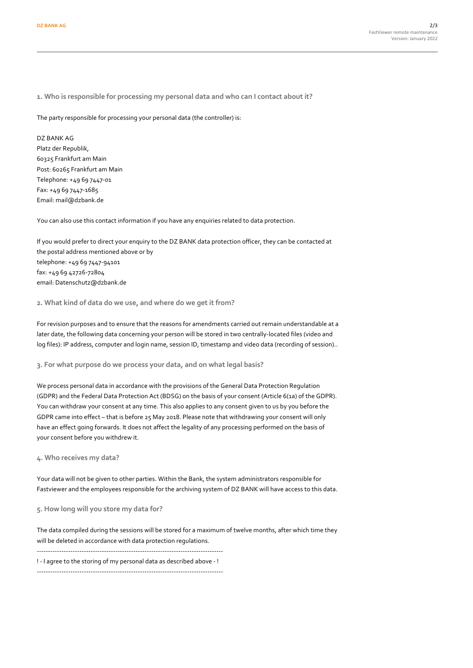**1. Who is responsible for processing my personal data and who can I contact about it?**

The party responsible for processing your personal data (the controller) is:

DZ BANK AG Platz der Republik, 60325 Frankfurt am Main Post: 60265 Frankfurt am Main Telephone: +49 69 7447-01 Fax: +49 69 7447-1685 Email: mail@dzbank.de

You can also use this contact information if you have any enquiries related to data protection.

If you would prefer to direct your enquiry to the DZ BANK data protection officer, they can be contacted at the postal address mentioned above or by telephone: +49 69 7447-94101 fax: +49 69 42726-72804 email: Datenschutz@dzbank.de

**2. What kind of data do we use, and where do we get it from?**

For revision purposes and to ensure that the reasons for amendments carried out remain understandable at a later date, the following data concerning your person will be stored in two centrally-located files (video and log files): IP address, computer and login name, session ID, timestamp and video data (recording of session)..

**3. For what purpose do we process your data, and on what legal basis?**

We process personal data in accordance with the provisions of the General Data Protection Regulation (GDPR) and the Federal Data Protection Act (BDSG) on the basis of your consent (Article 6(1a) of the GDPR). You can withdraw your consent at any time. This also applies to any consent given to us by you before the GDPR came into effect – that is before 25 May 2018. Please note that withdrawing your consent will only have an effect going forwards. It does not affect the legality of any processing performed on the basis of your consent before you withdrew it.

**4. Who receives my data?**

Your data will not be given to other parties. Within the Bank, the system administrators responsible for Fastviewer and the employees responsible for the archiving system of DZ BANK will have access to this data.

**5. How long will you store my data for?**

The data compiled during the sessions will be stored for a maximum of twelve months, after which time they will be deleted in accordance with data protection regulations. ----------------------------------------------------------------------------------- ! - I agree to the storing of my personal data as described above - !